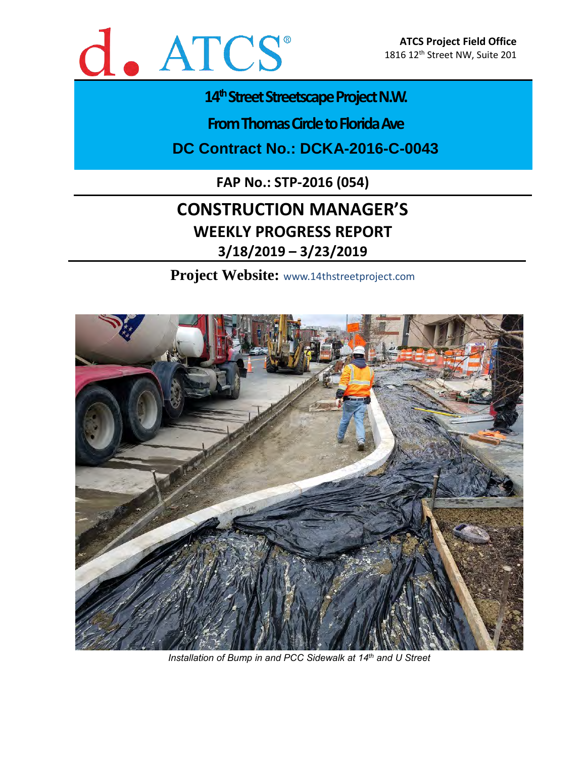

# 14<sup>th</sup> Street Streetscape Project N.W.

**From Thomas Circle to Florida Ave** 

**DC Contract No.: DCKA-2016-C-0043**

**FAP No.: STP-2016 (054)**

# **CONSTRUCTION MANAGER'S WEEKLY PROGRESS REPORT 3/18/2019 – 3/23/2019**

**Project Website:** www.14thstreetproject.com



*Installation of Bump in and PCC Sidewalk at 14th and U Street*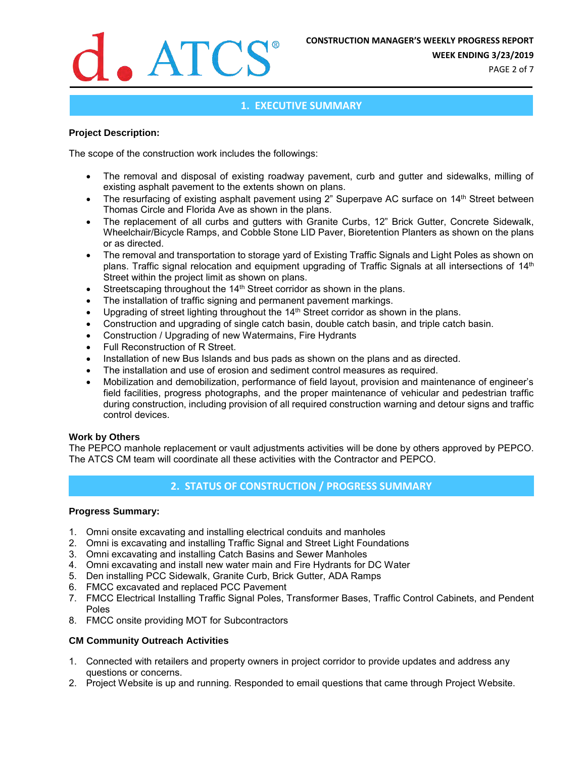

**WEEK ENDING 3/23/2019**

PAGE 2 of 7

## **1. EXECUTIVE SUMMARY**

#### **Project Description:**

The scope of the construction work includes the followings:

- The removal and disposal of existing roadway pavement, curb and gutter and sidewalks, milling of existing asphalt pavement to the extents shown on plans.
- The resurfacing of existing asphalt pavement using 2" Superpave AC surface on 14<sup>th</sup> Street between Thomas Circle and Florida Ave as shown in the plans.
- The replacement of all curbs and gutters with Granite Curbs, 12" Brick Gutter, Concrete Sidewalk, Wheelchair/Bicycle Ramps, and Cobble Stone LID Paver, Bioretention Planters as shown on the plans or as directed.
- The removal and transportation to storage yard of Existing Traffic Signals and Light Poles as shown on plans. Traffic signal relocation and equipment upgrading of Traffic Signals at all intersections of 14<sup>th</sup> Street within the project limit as shown on plans.
- Streetscaping throughout the 14<sup>th</sup> Street corridor as shown in the plans.
- The installation of traffic signing and permanent pavement markings.
- Upgrading of street lighting throughout the 14<sup>th</sup> Street corridor as shown in the plans.
- Construction and upgrading of single catch basin, double catch basin, and triple catch basin.
- Construction / Upgrading of new Watermains, Fire Hydrants
- Full Reconstruction of R Street.
- Installation of new Bus Islands and bus pads as shown on the plans and as directed.
- The installation and use of erosion and sediment control measures as required.
- Mobilization and demobilization, performance of field layout, provision and maintenance of engineer's field facilities, progress photographs, and the proper maintenance of vehicular and pedestrian traffic during construction, including provision of all required construction warning and detour signs and traffic control devices.

#### **Work by Others**

The PEPCO manhole replacement or vault adjustments activities will be done by others approved by PEPCO. The ATCS CM team will coordinate all these activities with the Contractor and PEPCO.

# **2. STATUS OF CONSTRUCTION / PROGRESS SUMMARY**

#### **Progress Summary:**

- 1. Omni onsite excavating and installing electrical conduits and manholes
- 2. Omni is excavating and installing Traffic Signal and Street Light Foundations
- 3. Omni excavating and installing Catch Basins and Sewer Manholes
- 4. Omni excavating and install new water main and Fire Hydrants for DC Water
- 5. Den installing PCC Sidewalk, Granite Curb, Brick Gutter, ADA Ramps
- 6. FMCC excavated and replaced PCC Pavement
- 7. FMCC Electrical Installing Traffic Signal Poles, Transformer Bases, Traffic Control Cabinets, and Pendent Poles
- 8. FMCC onsite providing MOT for Subcontractors

#### **CM Community Outreach Activities**

- 1. Connected with retailers and property owners in project corridor to provide updates and address any questions or concerns.
- 2. Project Website is up and running. Responded to email questions that came through Project Website.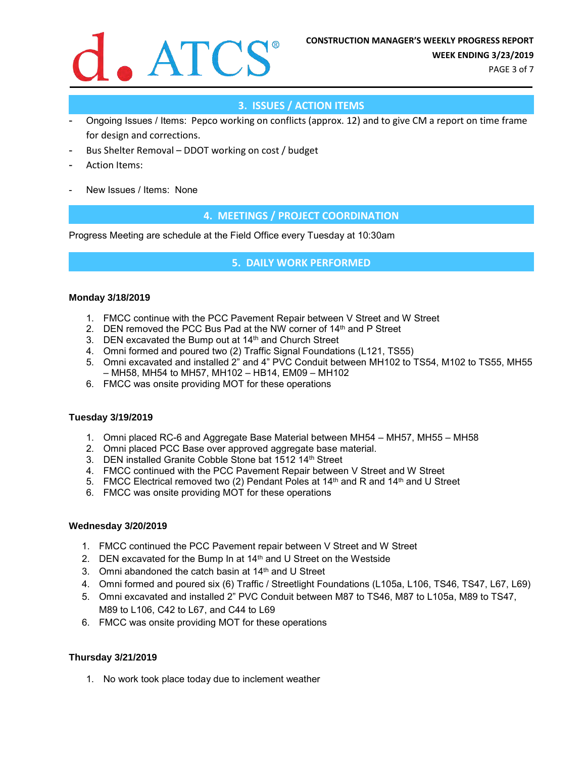

PAGE 3 of 7

# **3. ISSUES / ACTION ITEMS**

- Ongoing Issues / Items: Pepco working on conflicts (approx. 12) and to give CM a report on time frame for design and corrections.
- Bus Shelter Removal DDOT working on cost / budget
- Action Items:
- New Issues / Items: None

## **4. MEETINGS / PROJECT COORDINATION**

Progress Meeting are schedule at the Field Office every Tuesday at 10:30am

### **5. DAILY WORK PERFORMED**

#### **Monday 3/18/2019**

- 1. FMCC continue with the PCC Pavement Repair between V Street and W Street
- 2. DEN removed the PCC Bus Pad at the NW corner of 14<sup>th</sup> and P Street
- 3. DEN excavated the Bump out at 14<sup>th</sup> and Church Street
- 4. Omni formed and poured two (2) Traffic Signal Foundations (L121, TS55)
- 5. Omni excavated and installed 2" and 4" PVC Conduit between MH102 to TS54, M102 to TS55, MH55 – MH58, MH54 to MH57, MH102 – HB14, EM09 – MH102
- 6. FMCC was onsite providing MOT for these operations

#### **Tuesday 3/19/2019**

- 1. Omni placed RC-6 and Aggregate Base Material between MH54 MH57, MH55 MH58
- 2. Omni placed PCC Base over approved aggregate base material.
- 3. DEN installed Granite Cobble Stone bat 1512 14th Street
- 4. FMCC continued with the PCC Pavement Repair between V Street and W Street
- 5. FMCC Electrical removed two (2) Pendant Poles at  $14<sup>th</sup>$  and R and  $14<sup>th</sup>$  and U Street
- 6. FMCC was onsite providing MOT for these operations

#### **Wednesday 3/20/2019**

- 1. FMCC continued the PCC Pavement repair between V Street and W Street
- 2. DEN excavated for the Bump In at  $14<sup>th</sup>$  and U Street on the Westside
- 3. Omni abandoned the catch basin at 14th and U Street
- 4. Omni formed and poured six (6) Traffic / Streetlight Foundations (L105a, L106, TS46, TS47, L67, L69)
- 5. Omni excavated and installed 2" PVC Conduit between M87 to TS46, M87 to L105a, M89 to TS47, M89 to L106, C42 to L67, and C44 to L69
- 6. FMCC was onsite providing MOT for these operations

### **Thursday 3/21/2019**

1. No work took place today due to inclement weather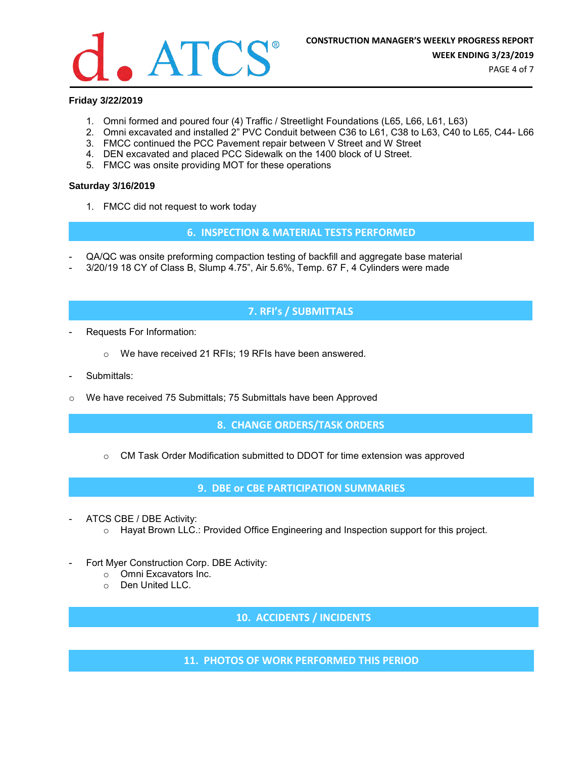

PAGE 4 of 7

## **Friday 3/22/2019**

- 1. Omni formed and poured four (4) Traffic / Streetlight Foundations (L65, L66, L61, L63)
- 2. Omni excavated and installed 2" PVC Conduit between C36 to L61, C38 to L63, C40 to L65, C44- L66
- 3. FMCC continued the PCC Pavement repair between V Street and W Street
- 4. DEN excavated and placed PCC Sidewalk on the 1400 block of U Street.
- 5. FMCC was onsite providing MOT for these operations

#### **Saturday 3/16/2019**

1. FMCC did not request to work today

**6. INSPECTION & MATERIAL TESTS PERFORMED**

- QA/QC was onsite preforming compaction testing of backfill and aggregate base material
- 3/20/19 18 CY of Class B, Slump 4.75", Air 5.6%, Temp. 67 F, 4 Cylinders were made

# **7. RFI's / SUBMITTALS**

- Requests For Information:
	- o We have received 21 RFIs; 19 RFIs have been answered.
- Submittals:
- o We have received 75 Submittals; 75 Submittals have been Approved

**8. CHANGE ORDERS/TASK ORDERS**

 $\circ$  CM Task Order Modification submitted to DDOT for time extension was approved

**9. DBE or CBE PARTICIPATION SUMMARIES**

- ATCS CBE / DBE Activity:
	- $\circ$  Hayat Brown LLC.: Provided Office Engineering and Inspection support for this project.
- Fort Myer Construction Corp. DBE Activity:
	- o Omni Excavators Inc.
	- o Den United LLC.

**10. ACCIDENTS / INCIDENTS**

**11. PHOTOS OF WORK PERFORMED THIS PERIOD**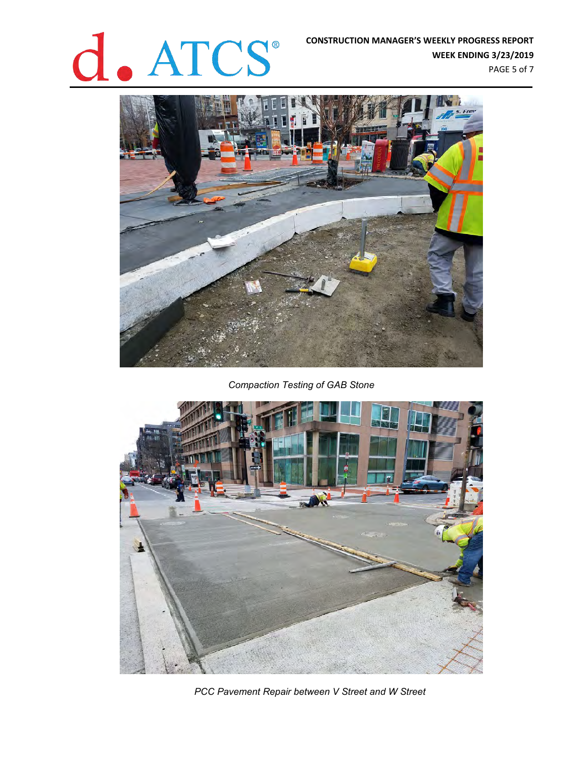# **CONSTRUCTION MANAGER'S WEEKLY PROGRESS REPORT**<br>WEEK ENDING 3/23/2019<br>PAGE 5 of 7

**WEEK ENDING 3/23/2019** PAGE 5 of 7



*Compaction Testing of GAB Stone*



*PCC Pavement Repair between V Street and W Street*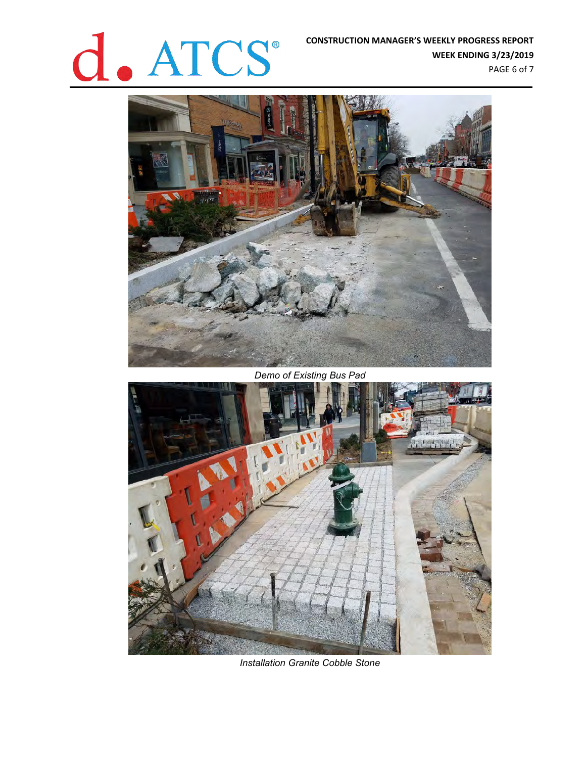# **CONSTRUCTION MANAGER'S WEEKLY PROGRESS REPORT**<br>WEEK ENDING 3/23/2019

**WEEK ENDING 3/23/2019** PAGE 6 of 7



*Demo of Existing Bus Pad*



*Installation Granite Cobble Stone*